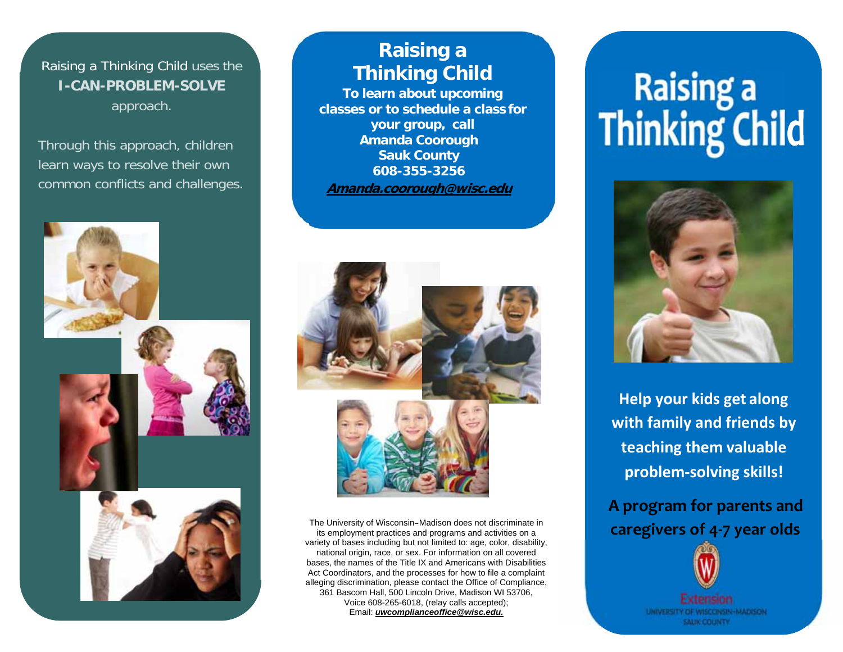Raising a Thinking Child uses the **I-CAN-PROBLEM-SOLVE**approach.

Through this approach, children learn ways to resolve their own common conflicts and challenges.



# **Raising a Thinking Child**

**To learn about upcoming classes or to schedule a class for your group, call Amanda Coorough Sauk County 608-355-3256 Amanda.coorough@wisc.edu** 



The University of Wisconsin–Madison does not discriminate in its employment practices and programs and activities on a variety of bases including but not limited to: age, color, disability, national origin, race, or sex. For information on all covered bases, the names of the Title IX and Americans with Disabilities Act Coordinators, and the processes for how to file a complaint alleging discrimination, please contact the Office of Compliance, 361 Bascom Hall, 500 Lincoln Drive, Madison WI 53706, Voice 608-265-6018, (relay calls accepted); Email: *uwcomplianceoffice@wisc.edu.*

# Raising a<br>Thinking Child



**Help your kids get along with family and friends by teaching them valuable problem‐solving skills!**

**A program for parents and caregivers of 4‐7 year olds**

> UNIVERSITY OF WISCONSIN-MADISON **SAUK COUNTY**